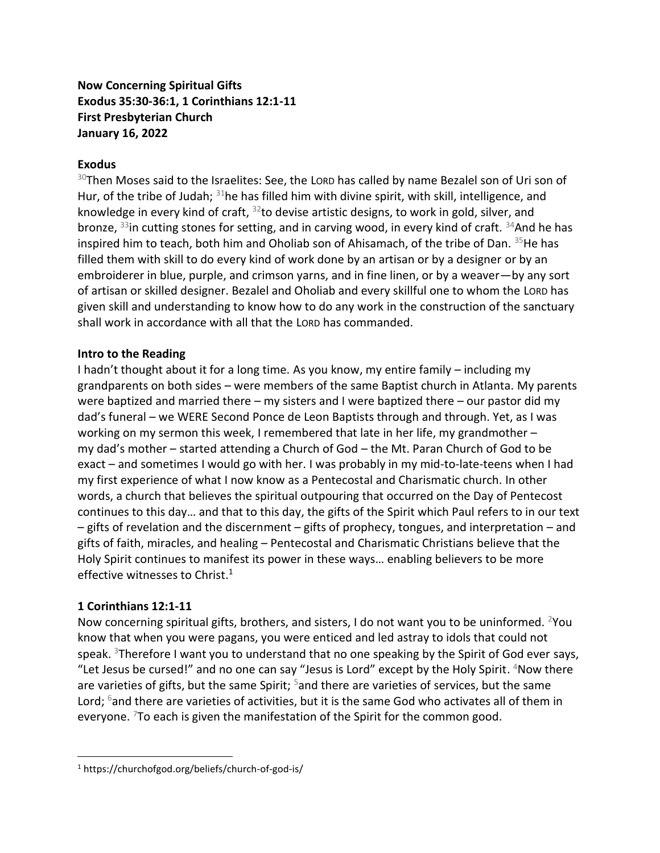## **Now Concerning Spiritual Gifts Exodus 35:30-36:1, 1 Corinthians 12:1-11 First Presbyterian Church January 16, 2022**

### **Exodus**

 $30$ Then Moses said to the Israelites: See, the Lord has called by name Bezalel son of Uri son of Hur, of the tribe of Judah;  $31$ he has filled him with divine spirit, with skill, intelligence, and knowledge in every kind of craft,  $32$  to devise artistic designs, to work in gold, silver, and bronze, <sup>33</sup>in cutting stones for setting, and in carving wood, in every kind of craft. <sup>34</sup>And he has inspired him to teach, both him and Oholiab son of Ahisamach, of the tribe of Dan. <sup>35</sup>He has filled them with skill to do every kind of work done by an artisan or by a designer or by an embroiderer in blue, purple, and crimson yarns, and in fine linen, or by a weaver—by any sort of artisan or skilled designer. Bezalel and Oholiab and every skillful one to whom the LORD has given skill and understanding to know how to do any work in the construction of the sanctuary shall work in accordance with all that the LORD has commanded.

### **Intro to the Reading**

I hadn't thought about it for a long time. As you know, my entire family – including my grandparents on both sides – were members of the same Baptist church in Atlanta. My parents were baptized and married there – my sisters and I were baptized there – our pastor did my dad's funeral – we WERE Second Ponce de Leon Baptists through and through. Yet, as I was working on my sermon this week, I remembered that late in her life, my grandmother – my dad's mother – started attending a Church of God – the Mt. Paran Church of God to be exact – and sometimes I would go with her. I was probably in my mid-to-late-teens when I had my first experience of what I now know as a Pentecostal and Charismatic church. In other words, a church that believes the spiritual outpouring that occurred on the Day of Pentecost continues to this day… and that to this day, the gifts of the Spirit which Paul refers to in our text – gifts of revelation and the discernment – gifts of prophecy, tongues, and interpretation – and gifts of faith, miracles, and healing – Pentecostal and Charismatic Christians believe that the Holy Spirit continues to manifest its power in these ways… enabling believers to be more effective witnesses to Christ.<sup>1</sup>

### **1 Corinthians 12:1-11**

Now concerning spiritual gifts, brothers, and sisters, I do not want you to be uninformed. <sup>2</sup>You know that when you were pagans, you were enticed and led astray to idols that could not speak. <sup>3</sup>Therefore I want you to understand that no one speaking by the Spirit of God ever says, "Let Jesus be cursed!" and no one can say "Jesus is Lord" except by the Holy Spirit. <sup>4</sup>Now there are varieties of gifts, but the same Spirit;  $5$  and there are varieties of services, but the same Lord;  $6$  and there are varieties of activities, but it is the same God who activates all of them in everyone.  $7\sigma$  each is given the manifestation of the Spirit for the common good.

<sup>1</sup> https://churchofgod.org/beliefs/church-of-god-is/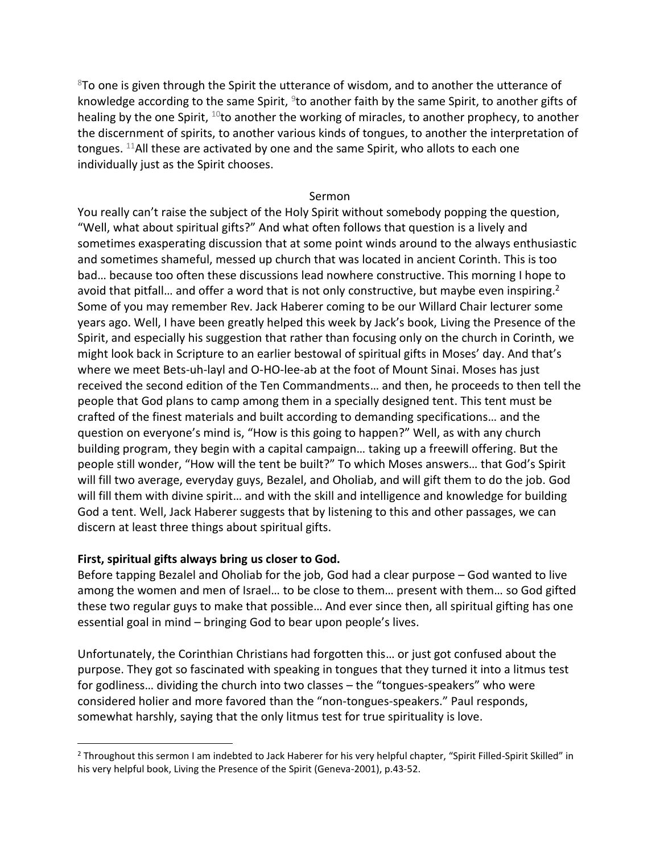$8$ To one is given through the Spirit the utterance of wisdom, and to another the utterance of knowledge according to the same Spirit, <sup>9</sup>to another faith by the same Spirit, to another gifts of healing by the one Spirit,  $10$  to another the working of miracles, to another prophecy, to another the discernment of spirits, to another various kinds of tongues, to another the interpretation of tongues.  $11$ All these are activated by one and the same Spirit, who allots to each one individually just as the Spirit chooses.

#### Sermon

You really can't raise the subject of the Holy Spirit without somebody popping the question, "Well, what about spiritual gifts?" And what often follows that question is a lively and sometimes exasperating discussion that at some point winds around to the always enthusiastic and sometimes shameful, messed up church that was located in ancient Corinth. This is too bad… because too often these discussions lead nowhere constructive. This morning I hope to avoid that pitfall... and offer a word that is not only constructive, but maybe even inspiring.<sup>2</sup> Some of you may remember Rev. Jack Haberer coming to be our Willard Chair lecturer some years ago. Well, I have been greatly helped this week by Jack's book, Living the Presence of the Spirit, and especially his suggestion that rather than focusing only on the church in Corinth, we might look back in Scripture to an earlier bestowal of spiritual gifts in Moses' day. And that's where we meet Bets-uh-layl and O-HO-lee-ab at the foot of Mount Sinai. Moses has just received the second edition of the Ten Commandments… and then, he proceeds to then tell the people that God plans to camp among them in a specially designed tent. This tent must be crafted of the finest materials and built according to demanding specifications… and the question on everyone's mind is, "How is this going to happen?" Well, as with any church building program, they begin with a capital campaign… taking up a freewill offering. But the people still wonder, "How will the tent be built?" To which Moses answers… that God's Spirit will fill two average, everyday guys, Bezalel, and Oholiab, and will gift them to do the job. God will fill them with divine spirit… and with the skill and intelligence and knowledge for building God a tent. Well, Jack Haberer suggests that by listening to this and other passages, we can discern at least three things about spiritual gifts.

#### **First, spiritual gifts always bring us closer to God.**

Before tapping Bezalel and Oholiab for the job, God had a clear purpose – God wanted to live among the women and men of Israel… to be close to them… present with them… so God gifted these two regular guys to make that possible… And ever since then, all spiritual gifting has one essential goal in mind – bringing God to bear upon people's lives.

Unfortunately, the Corinthian Christians had forgotten this… or just got confused about the purpose. They got so fascinated with speaking in tongues that they turned it into a litmus test for godliness… dividing the church into two classes – the "tongues-speakers" who were considered holier and more favored than the "non-tongues-speakers." Paul responds, somewhat harshly, saying that the only litmus test for true spirituality is love.

 $2$  Throughout this sermon I am indebted to Jack Haberer for his very helpful chapter, "Spirit Filled-Spirit Skilled" in his very helpful book, Living the Presence of the Spirit (Geneva-2001), p.43-52.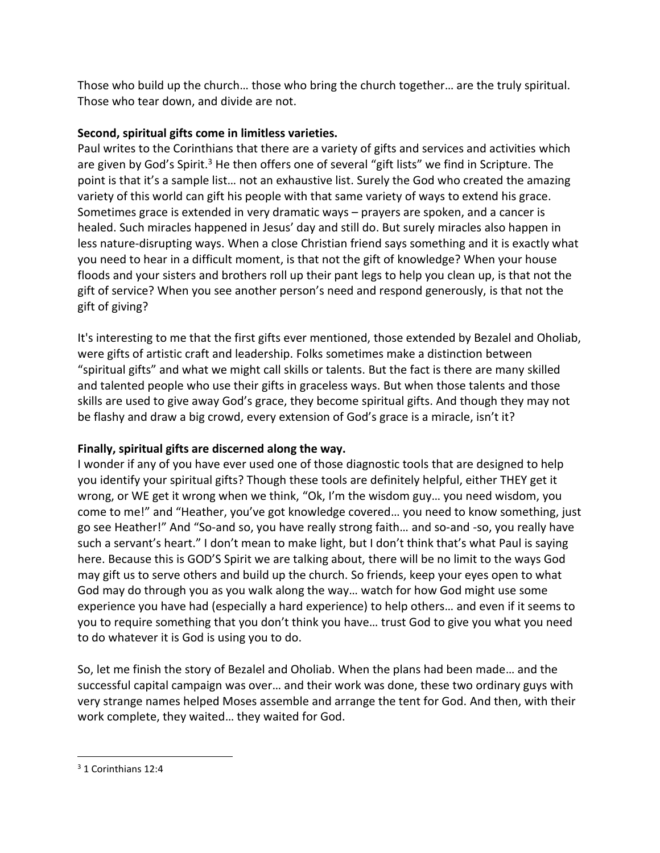Those who build up the church… those who bring the church together… are the truly spiritual. Those who tear down, and divide are not.

## **Second, spiritual gifts come in limitless varieties.**

Paul writes to the Corinthians that there are a variety of gifts and services and activities which are given by God's Spirit.<sup>3</sup> He then offers one of several "gift lists" we find in Scripture. The point is that it's a sample list… not an exhaustive list. Surely the God who created the amazing variety of this world can gift his people with that same variety of ways to extend his grace. Sometimes grace is extended in very dramatic ways – prayers are spoken, and a cancer is healed. Such miracles happened in Jesus' day and still do. But surely miracles also happen in less nature-disrupting ways. When a close Christian friend says something and it is exactly what you need to hear in a difficult moment, is that not the gift of knowledge? When your house floods and your sisters and brothers roll up their pant legs to help you clean up, is that not the gift of service? When you see another person's need and respond generously, is that not the gift of giving?

It's interesting to me that the first gifts ever mentioned, those extended by Bezalel and Oholiab, were gifts of artistic craft and leadership. Folks sometimes make a distinction between "spiritual gifts" and what we might call skills or talents. But the fact is there are many skilled and talented people who use their gifts in graceless ways. But when those talents and those skills are used to give away God's grace, they become spiritual gifts. And though they may not be flashy and draw a big crowd, every extension of God's grace is a miracle, isn't it?

# **Finally, spiritual gifts are discerned along the way.**

I wonder if any of you have ever used one of those diagnostic tools that are designed to help you identify your spiritual gifts? Though these tools are definitely helpful, either THEY get it wrong, or WE get it wrong when we think, "Ok, I'm the wisdom guy… you need wisdom, you come to me!" and "Heather, you've got knowledge covered… you need to know something, just go see Heather!" And "So-and so, you have really strong faith… and so-and -so, you really have such a servant's heart." I don't mean to make light, but I don't think that's what Paul is saying here. Because this is GOD'S Spirit we are talking about, there will be no limit to the ways God may gift us to serve others and build up the church. So friends, keep your eyes open to what God may do through you as you walk along the way… watch for how God might use some experience you have had (especially a hard experience) to help others… and even if it seems to you to require something that you don't think you have… trust God to give you what you need to do whatever it is God is using you to do.

So, let me finish the story of Bezalel and Oholiab. When the plans had been made… and the successful capital campaign was over… and their work was done, these two ordinary guys with very strange names helped Moses assemble and arrange the tent for God. And then, with their work complete, they waited… they waited for God.

<sup>3</sup> 1 Corinthians 12:4